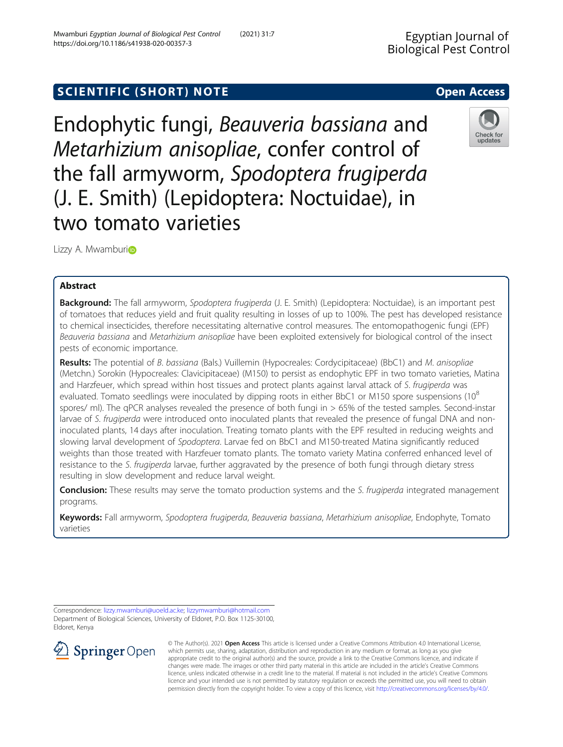# SCIENTIFIC (SHORT) NOTE And the open Access open Access

Endophytic fungi, Beauveria bassiana and Metarhizium anisopliae, confer control of the fall armyworm, Spodoptera frugiperda (J. E. Smith) (Lepidoptera: Noctuidae), in two tomato varieties

Lizzy A. Mwamburi<sup>o</sup>

## Abstract

Background: The fall armyworm, Spodoptera frugiperda (J. E. Smith) (Lepidoptera: Noctuidae), is an important pest of tomatoes that reduces yield and fruit quality resulting in losses of up to 100%. The pest has developed resistance to chemical insecticides, therefore necessitating alternative control measures. The entomopathogenic fungi (EPF) Beauveria bassiana and Metarhizium anisopliae have been exploited extensively for biological control of the insect pests of economic importance.

Results: The potential of B. bassiana (Bals.) Vuillemin (Hypocreales: Cordycipitaceae) (BbC1) and M. anisopliae (Metchn.) Sorokin (Hypocreales: Clavicipitaceae) (M150) to persist as endophytic EPF in two tomato varieties, Matina and Harzfeuer, which spread within host tissues and protect plants against larval attack of S. frugiperda was evaluated. Tomato seedlings were inoculated by dipping roots in either BbC1 or M150 spore suspensions  $(10^8$ spores/ ml). The qPCR analyses revealed the presence of both fungi in > 65% of the tested samples. Second-instar larvae of S. frugiperda were introduced onto inoculated plants that revealed the presence of fungal DNA and noninoculated plants, 14 days after inoculation. Treating tomato plants with the EPF resulted in reducing weights and slowing larval development of Spodoptera. Larvae fed on BbC1 and M150-treated Matina significantly reduced weights than those treated with Harzfeuer tomato plants. The tomato variety Matina conferred enhanced level of resistance to the S. frugiperda larvae, further aggravated by the presence of both fungi through dietary stress resulting in slow development and reduce larval weight.

**Conclusion:** These results may serve the tomato production systems and the S. frugiperda integrated management programs.

Keywords: Fall armyworm, Spodoptera frugiperda, Beauveria bassiana, Metarhizium anisopliae, Endophyte, Tomato varieties

Department of Biological Sciences, University of Eldoret, P.O. Box 1125-30100, Eldoret, Kenya

 $\Omega$  Springer Open

© The Author(s). 2021 Open Access This article is licensed under a Creative Commons Attribution 4.0 International License, which permits use, sharing, adaptation, distribution and reproduction in any medium or format, as long as you give appropriate credit to the original author(s) and the source, provide a link to the Creative Commons licence, and indicate if changes were made. The images or other third party material in this article are included in the article's Creative Commons licence, unless indicated otherwise in a credit line to the material. If material is not included in the article's Creative Commons licence and your intended use is not permitted by statutory regulation or exceeds the permitted use, you will need to obtain permission directly from the copyright holder. To view a copy of this licence, visit <http://creativecommons.org/licenses/by/4.0/>.





Correspondence: [lizzy.mwamburi@uoeld.ac.ke](mailto:lizzy.mwamburi@uoeld.ac.ke); [lizzymwamburi@hotmail.com](mailto:lizzymwamburi@hotmail.com)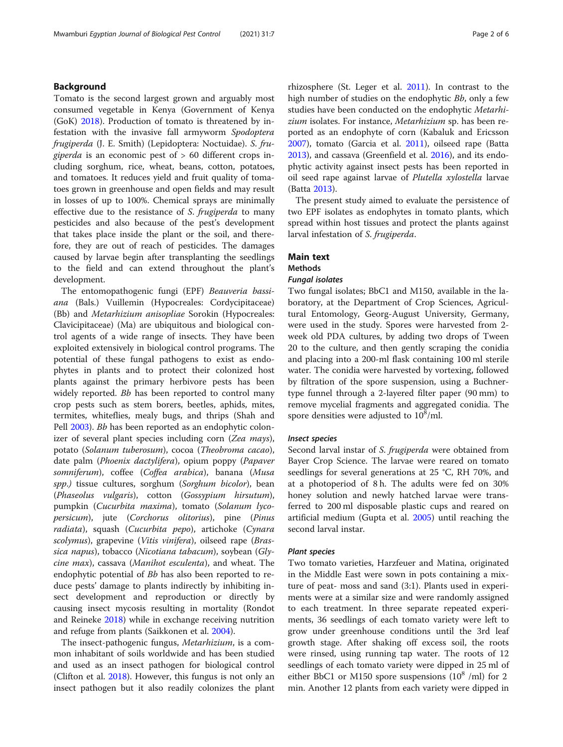## Background

Tomato is the second largest grown and arguably most consumed vegetable in Kenya (Government of Kenya (GoK) [2018](#page-5-0)). Production of tomato is threatened by infestation with the invasive fall armyworm Spodoptera frugiperda (J. E. Smith) (Lepidoptera: Noctuidae). S. fru*giperda* is an economic pest of  $> 60$  different crops including sorghum, rice, wheat, beans, cotton, potatoes, and tomatoes. It reduces yield and fruit quality of tomatoes grown in greenhouse and open fields and may result in losses of up to 100%. Chemical sprays are minimally effective due to the resistance of S. frugiperda to many pesticides and also because of the pest's development that takes place inside the plant or the soil, and therefore, they are out of reach of pesticides. The damages caused by larvae begin after transplanting the seedlings to the field and can extend throughout the plant's development.

The entomopathogenic fungi (EPF) Beauveria bassiana (Bals.) Vuillemin (Hypocreales: Cordycipitaceae) (Bb) and Metarhizium anisopliae Sorokin (Hypocreales: Clavicipitaceae) (Ma) are ubiquitous and biological control agents of a wide range of insects. They have been exploited extensively in biological control programs. The potential of these fungal pathogens to exist as endophytes in plants and to protect their colonized host plants against the primary herbivore pests has been widely reported. Bb has been reported to control many crop pests such as stem borers, beetles, aphids, mites, termites, whiteflies, mealy bugs, and thrips (Shah and Pell [2003](#page-5-0)). Bb has been reported as an endophytic colonizer of several plant species including corn (Zea mays), potato (Solanum tuberosum), cocoa (Theobroma cacao), date palm (Phoenix dactylifera), opium poppy (Papaver somniferum), coffee (Coffea arabica), banana (Musa spp.) tissue cultures, sorghum (Sorghum bicolor), bean (Phaseolus vulgaris), cotton (Gossypium hirsutum), pumpkin (Cucurbita maxima), tomato (Solanum lycopersicum), jute (Corchorus olitorius), pine (Pinus radiata), squash (Cucurbita pepo), artichoke (Cynara scolymus), grapevine (Vitis vinifera), oilseed rape (Brassica napus), tobacco (Nicotiana tabacum), soybean (Glycine max), cassava (Manihot esculenta), and wheat. The endophytic potential of Bb has also been reported to reduce pests' damage to plants indirectly by inhibiting insect development and reproduction or directly by causing insect mycosis resulting in mortality (Rondot and Reineke [2018](#page-5-0)) while in exchange receiving nutrition and refuge from plants (Saikkonen et al. [2004\)](#page-5-0).

The insect-pathogenic fungus, Metarhizium, is a common inhabitant of soils worldwide and has been studied and used as an insect pathogen for biological control (Clifton et al. [2018](#page-5-0)). However, this fungus is not only an insect pathogen but it also readily colonizes the plant

rhizosphere (St. Leger et al. [2011](#page-5-0)). In contrast to the high number of studies on the endophytic *Bb*, only a few studies have been conducted on the endophytic Metarhizium isolates. For instance, Metarhizium sp. has been reported as an endophyte of corn (Kabaluk and Ericsson [2007](#page-5-0)), tomato (Garcia et al. [2011](#page-5-0)), oilseed rape (Batta [2013](#page-5-0)), and cassava (Greenfield et al. [2016\)](#page-5-0), and its endophytic activity against insect pests has been reported in oil seed rape against larvae of Plutella xylostella larvae (Batta [2013](#page-5-0)).

The present study aimed to evaluate the persistence of two EPF isolates as endophytes in tomato plants, which spread within host tissues and protect the plants against larval infestation of S. frugiperda.

### Main text

### Methods

### Fungal isolates

Two fungal isolates; BbC1 and M150, available in the laboratory, at the Department of Crop Sciences, Agricultural Entomology, Georg-August University, Germany, were used in the study. Spores were harvested from 2 week old PDA cultures, by adding two drops of Tween 20 to the culture, and then gently scraping the conidia and placing into a 200-ml flask containing 100 ml sterile water. The conidia were harvested by vortexing, followed by filtration of the spore suspension, using a Buchnertype funnel through a 2-layered filter paper (90 mm) to remove mycelial fragments and aggregated conidia. The spore densities were adjusted to  $10^8$ /ml.

### Insect species

Second larval instar of S. frugiperda were obtained from Bayer Crop Science. The larvae were reared on tomato seedlings for several generations at 25 °C, RH 70%, and at a photoperiod of 8 h. The adults were fed on 30% honey solution and newly hatched larvae were transferred to 200 ml disposable plastic cups and reared on artificial medium (Gupta et al. [2005\)](#page-5-0) until reaching the second larval instar.

#### Plant species

Two tomato varieties, Harzfeuer and Matina, originated in the Middle East were sown in pots containing a mixture of peat- moss and sand (3:1). Plants used in experiments were at a similar size and were randomly assigned to each treatment. In three separate repeated experiments, 36 seedlings of each tomato variety were left to grow under greenhouse conditions until the 3rd leaf growth stage. After shaking off excess soil, the roots were rinsed, using running tap water. The roots of 12 seedlings of each tomato variety were dipped in 25 ml of either BbC1 or M150 spore suspensions  $(10^8 \text{ /ml})$  for 2 min. Another 12 plants from each variety were dipped in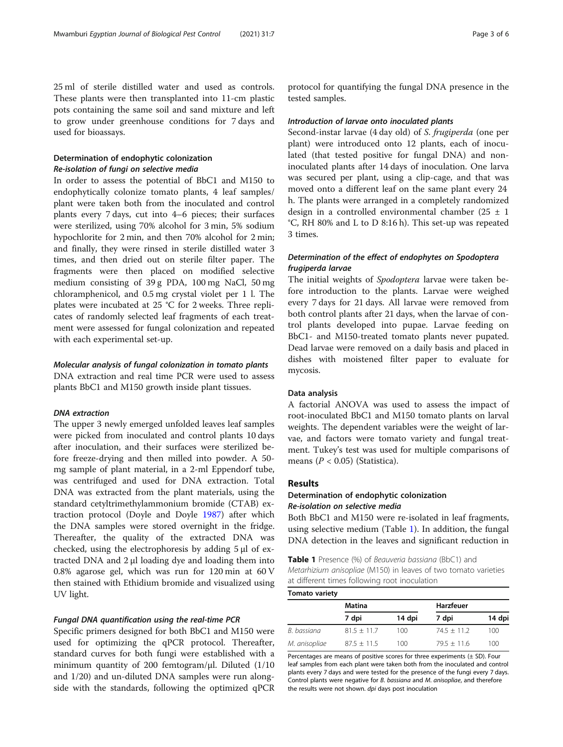25 ml of sterile distilled water and used as controls. These plants were then transplanted into 11-cm plastic pots containing the same soil and sand mixture and left to grow under greenhouse conditions for 7 days and used for bioassays.

## Determination of endophytic colonization Re-isolation of fungi on selective media

In order to assess the potential of BbC1 and M150 to endophytically colonize tomato plants, 4 leaf samples/ plant were taken both from the inoculated and control plants every 7 days, cut into 4–6 pieces; their surfaces were sterilized, using 70% alcohol for 3 min, 5% sodium hypochlorite for 2 min, and then 70% alcohol for 2 min; and finally, they were rinsed in sterile distilled water 3 times, and then dried out on sterile filter paper. The fragments were then placed on modified selective medium consisting of 39 g PDA, 100 mg NaCl, 50 mg chloramphenicol, and 0.5 mg crystal violet per 1 l. The plates were incubated at 25 °C for 2 weeks. Three replicates of randomly selected leaf fragments of each treatment were assessed for fungal colonization and repeated with each experimental set-up.

### Molecular analysis of fungal colonization in tomato plants

DNA extraction and real time PCR were used to assess plants BbC1 and M150 growth inside plant tissues.

### DNA extraction

The upper 3 newly emerged unfolded leaves leaf samples were picked from inoculated and control plants 10 days after inoculation, and their surfaces were sterilized before freeze-drying and then milled into powder. A 50 mg sample of plant material, in a 2-ml Eppendorf tube, was centrifuged and used for DNA extraction. Total DNA was extracted from the plant materials, using the standard cetyltrimethylammonium bromide (CTAB) extraction protocol (Doyle and Doyle [1987](#page-5-0)) after which the DNA samples were stored overnight in the fridge. Thereafter, the quality of the extracted DNA was checked, using the electrophoresis by adding 5 μl of extracted DNA and 2 μl loading dye and loading them into 0.8% agarose gel, which was run for 120 min at 60 V then stained with Ethidium bromide and visualized using UV light.

### Fungal DNA quantification using the real-time PCR

Specific primers designed for both BbC1 and M150 were used for optimizing the qPCR protocol. Thereafter, standard curves for both fungi were established with a minimum quantity of 200 femtogram/μl. Diluted (1/10 and 1/20) and un-diluted DNA samples were run alongside with the standards, following the optimized qPCR

protocol for quantifying the fungal DNA presence in the tested samples.

#### Introduction of larvae onto inoculated plants

Second-instar larvae (4 day old) of S. frugiperda (one per plant) were introduced onto 12 plants, each of inoculated (that tested positive for fungal DNA) and noninoculated plants after 14 days of inoculation. One larva was secured per plant, using a clip-cage, and that was moved onto a different leaf on the same plant every 24 h. The plants were arranged in a completely randomized design in a controlled environmental chamber (25  $\pm$  1 °C, RH 80% and L to D 8:16 h). This set-up was repeated 3 times.

## Determination of the effect of endophytes on Spodoptera frugiperda larvae

The initial weights of Spodoptera larvae were taken before introduction to the plants. Larvae were weighed every 7 days for 21 days. All larvae were removed from both control plants after 21 days, when the larvae of control plants developed into pupae. Larvae feeding on BbC1- and M150-treated tomato plants never pupated. Dead larvae were removed on a daily basis and placed in dishes with moistened filter paper to evaluate for mycosis.

### Data analysis

A factorial ANOVA was used to assess the impact of root-inoculated BbC1 and M150 tomato plants on larval weights. The dependent variables were the weight of larvae, and factors were tomato variety and fungal treatment. Tukey's test was used for multiple comparisons of means ( $P < 0.05$ ) (Statistica).

### Results

## Determination of endophytic colonization Re-isolation on selective media

Both BbC1 and M150 were re-isolated in leaf fragments, using selective medium (Table 1). In addition, the fungal DNA detection in the leaves and significant reduction in

Table 1 Presence (%) of Beauveria bassiana (BbC1) and Metarhizium anisopliae (M150) in leaves of two tomato varieties at different times following root inoculation

Tomato variety

|               | Matina        |        | Harzfeuer     |        |  |  |
|---------------|---------------|--------|---------------|--------|--|--|
|               | 7 dpi         | 14 dpi | 7 dpi         | 14 dpi |  |  |
| B. bassiana   | $81.5 + 11.7$ | 100    | $74.5 + 11.2$ | 100    |  |  |
| M. anisopliae | $87.5 + 11.5$ | 100    | $79.5 + 11.6$ | 100    |  |  |

Percentages are means of positive scores for three experiments  $(\pm$  SD). Four leaf samples from each plant were taken both from the inoculated and control plants every 7 days and were tested for the presence of the fungi every 7 days. Control plants were negative for B. bassiana and M. anisopliae, and therefore the results were not shown. dpi days post inoculation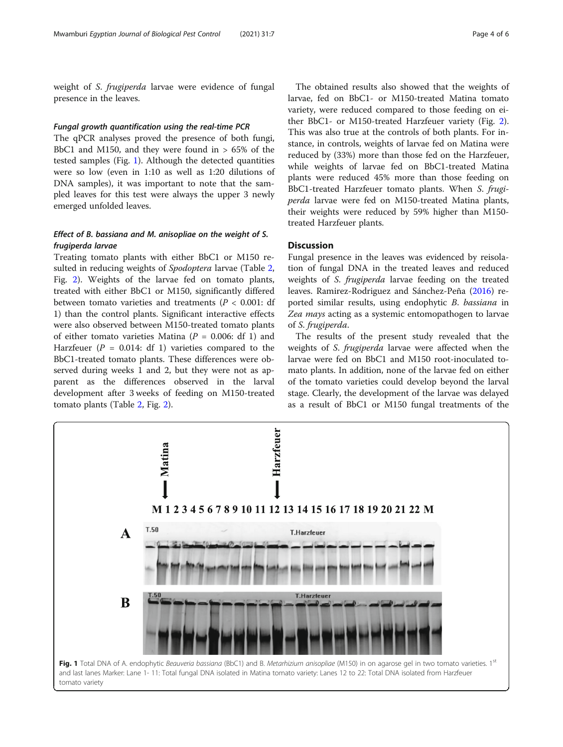weight of S. frugiperda larvae were evidence of fungal presence in the leaves.

### Fungal growth quantification using the real-time PCR

The qPCR analyses proved the presence of both fungi, BbC1 and M150, and they were found in  $> 65\%$  of the tested samples (Fig. 1). Although the detected quantities were so low (even in 1:10 as well as 1:20 dilutions of DNA samples), it was important to note that the sampled leaves for this test were always the upper 3 newly emerged unfolded leaves.

## Effect of B. bassiana and M. anisopliae on the weight of S. frugiperda larvae

Treating tomato plants with either BbC1 or M150 re-sulted in reducing weights of Spodoptera larvae (Table [2](#page-4-0), Fig. [2\)](#page-4-0). Weights of the larvae fed on tomato plants, treated with either BbC1 or M150, significantly differed between tomato varieties and treatments ( $P < 0.001$ : df 1) than the control plants. Significant interactive effects were also observed between M150-treated tomato plants of either tomato varieties Matina ( $P = 0.006$ : df 1) and Harzfeuer ( $P = 0.014$ : df 1) varieties compared to the BbC1-treated tomato plants. These differences were observed during weeks 1 and 2, but they were not as apparent as the differences observed in the larval development after 3 weeks of feeding on M150-treated tomato plants (Table [2](#page-4-0), Fig. [2\)](#page-4-0).

The obtained results also showed that the weights of larvae, fed on BbC1- or M150-treated Matina tomato variety, were reduced compared to those feeding on either BbC1- or M150-treated Harzfeuer variety (Fig. [2](#page-4-0)). This was also true at the controls of both plants. For instance, in controls, weights of larvae fed on Matina were reduced by (33%) more than those fed on the Harzfeuer, while weights of larvae fed on BbC1-treated Matina plants were reduced 45% more than those feeding on BbC1-treated Harzfeuer tomato plants. When S. frugiperda larvae were fed on M150-treated Matina plants, their weights were reduced by 59% higher than M150 treated Harzfeuer plants.

## **Discussion**

Fungal presence in the leaves was evidenced by reisolation of fungal DNA in the treated leaves and reduced weights of S. frugiperda larvae feeding on the treated leaves. Ramirez-Rodriguez and Sánchez-Peña [\(2016\)](#page-5-0) reported similar results, using endophytic B. bassiana in Zea mays acting as a systemic entomopathogen to larvae of S. frugiperda.

The results of the present study revealed that the weights of S. frugiperda larvae were affected when the larvae were fed on BbC1 and M150 root-inoculated tomato plants. In addition, none of the larvae fed on either of the tomato varieties could develop beyond the larval stage. Clearly, the development of the larvae was delayed as a result of BbC1 or M150 fungal treatments of the

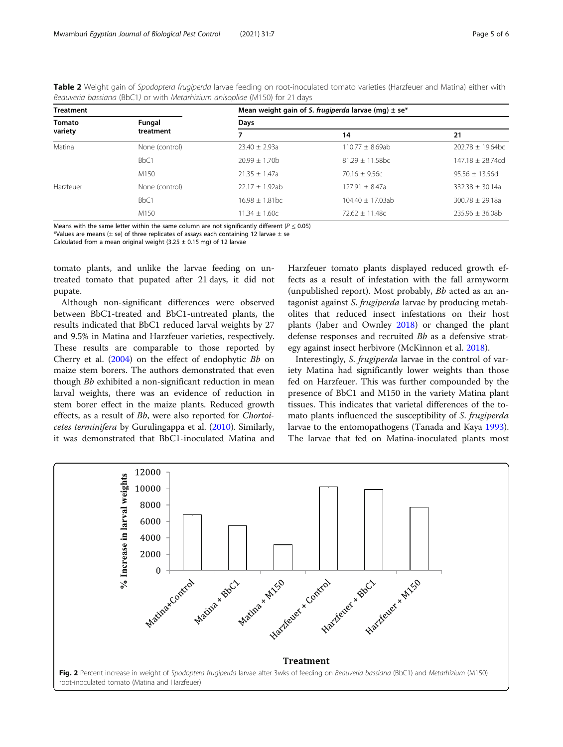| <b>Treatment</b>  |                  | Mean weight gain of S. frugiperda larvae (mg) $\pm$ se <sup>*</sup> |                     |                       |  |
|-------------------|------------------|---------------------------------------------------------------------|---------------------|-----------------------|--|
| Tomato<br>variety | Fungal           | Days                                                                |                     |                       |  |
|                   | treatment        |                                                                     | 14                  | 21                    |  |
| Matina            | None (control)   | $23.40 + 2.93a$                                                     | $110.77 \pm 8.69ab$ | $202.78 \pm 19.64$ bc |  |
|                   | BbC <sub>1</sub> | $20.99 + 1.70h$                                                     | $81.29 + 11.58$ bc  | $147.18 \pm 28.74$ cd |  |
|                   | M <sub>150</sub> | $21.35 + 1.47a$                                                     | $70.16 + 9.56c$     | $95.56 \pm 13.56$ d   |  |
| Harzfeuer         | None (control)   | $22.17 + 1.92ab$                                                    | $127.91 \pm 8.47a$  | $332.38 + 30.14a$     |  |
|                   | BbC1             | $16.98 + 1.81$ <sub>bc</sub>                                        | $104.40 + 17.03ab$  | $300.78 \pm 29.18a$   |  |
|                   | M <sub>150</sub> | $11.34 + 1.60c$                                                     | $72.62 + 11.48c$    | $235.96 \pm 36.08b$   |  |

<span id="page-4-0"></span>Table 2 Weight gain of Spodoptera frugiperda larvae feeding on root-inoculated tomato varieties (Harzfeuer and Matina) either with Beauveria bassiana (BbC1) or with Metarhizium anisopliae (M150) for 21 days

Means with the same letter within the same column are not significantly different ( $P \le 0.05$ )

\*Values are means ( $\pm$  se) of three replicates of assays each containing 12 larvae  $\pm$  se

Calculated from a mean original weight  $(3.25 \pm 0.15 \text{ ma})$  of 12 larvae

tomato plants, and unlike the larvae feeding on untreated tomato that pupated after 21 days, it did not pupate.

Although non-significant differences were observed between BbC1-treated and BbC1-untreated plants, the results indicated that BbC1 reduced larval weights by 27 and 9.5% in Matina and Harzfeuer varieties, respectively. These results are comparable to those reported by Cherry et al. ([2004](#page-5-0)) on the effect of endophytic Bb on maize stem borers. The authors demonstrated that even though Bb exhibited a non-significant reduction in mean larval weights, there was an evidence of reduction in stem borer effect in the maize plants. Reduced growth effects, as a result of Bb, were also reported for Chortoicetes terminifera by Gurulingappa et al. ([2010](#page-5-0)). Similarly, it was demonstrated that BbC1-inoculated Matina and Harzfeuer tomato plants displayed reduced growth effects as a result of infestation with the fall armyworm (unpublished report). Most probably, Bb acted as an antagonist against S. frugiperda larvae by producing metabolites that reduced insect infestations on their host plants (Jaber and Ownley [2018](#page-5-0)) or changed the plant defense responses and recruited Bb as a defensive strategy against insect herbivore (McKinnon et al. [2018](#page-5-0)).

Interestingly, S. frugiperda larvae in the control of variety Matina had significantly lower weights than those fed on Harzfeuer. This was further compounded by the presence of BbC1 and M150 in the variety Matina plant tissues. This indicates that varietal differences of the tomato plants influenced the susceptibility of S. frugiperda larvae to the entomopathogens (Tanada and Kaya [1993](#page-5-0)). The larvae that fed on Matina-inoculated plants most